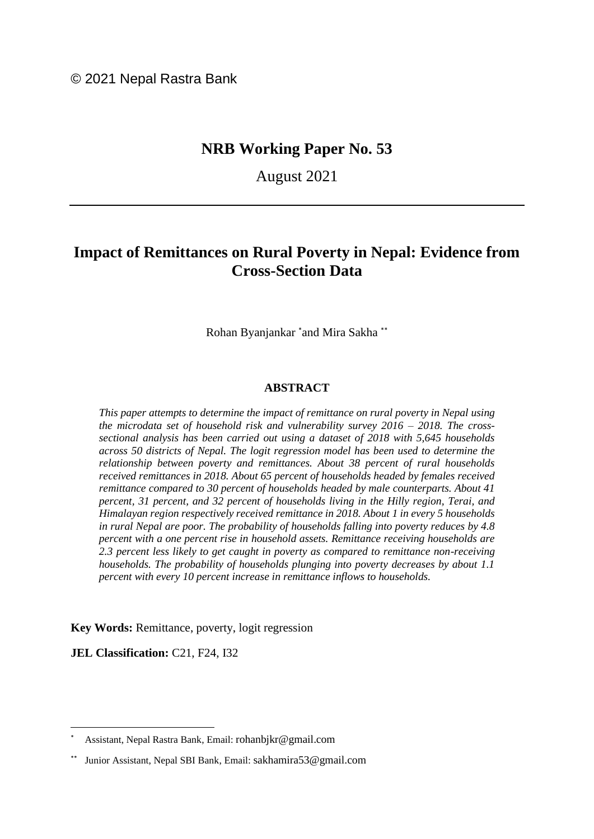© 2021 Nepal Rastra Bank

# **NRB Working Paper No. 53**

August 2021

# **Impact of Remittances on Rural Poverty in Nepal: Evidence from Cross-Section Data**

Rohan Byanjankar \*and Mira Sakha \*\*

#### **ABSTRACT**

*This paper attempts to determine the impact of remittance on rural poverty in Nepal using the microdata set of household risk and vulnerability survey 2016 – 2018. The crosssectional analysis has been carried out using a dataset of 2018 with 5,645 households across 50 districts of Nepal. The logit regression model has been used to determine the relationship between poverty and remittances. About 38 percent of rural households received remittances in 2018. About 65 percent of households headed by females received remittance compared to 30 percent of households headed by male counterparts. About 41 percent, 31 percent, and 32 percent of households living in the Hilly region, Terai, and Himalayan region respectively received remittance in 2018. About 1 in every 5 households in rural Nepal are poor. The probability of households falling into poverty reduces by 4.8 percent with a one percent rise in household assets. Remittance receiving households are 2.3 percent less likely to get caught in poverty as compared to remittance non-receiving households. The probability of households plunging into poverty decreases by about 1.1 percent with every 10 percent increase in remittance inflows to households.*

**Key Words:** Remittance, poverty, logit regression

**JEL Classification: C21, F24, I32** 

Assistant, Nepal Rastra Bank, Email: [rohanbjkr@gmail.com](mailto:rohanbjkr@gmail.com)

Junior Assistant, Nepal SBI Bank, Email: [sakhamira53@gmail.com](mailto:sakhamira53@gmail.com)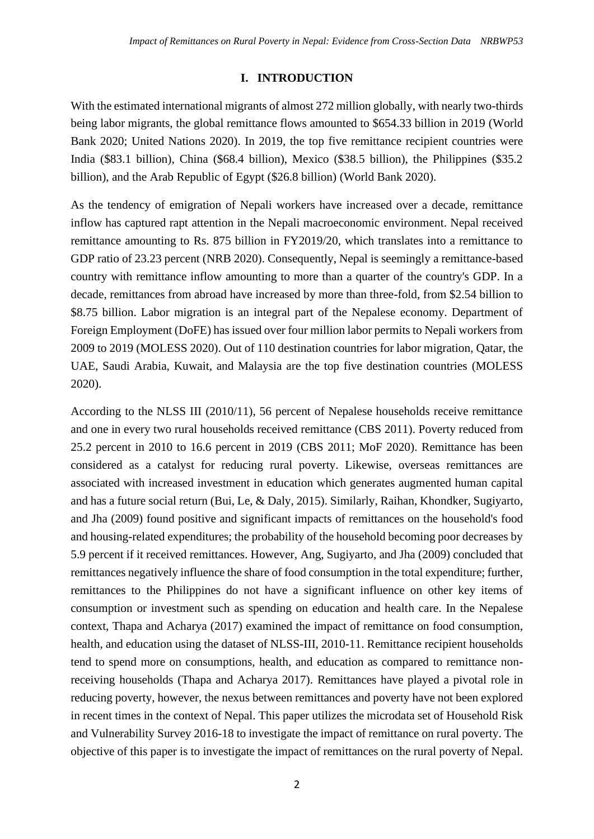### **I. INTRODUCTION**

With the estimated international migrants of almost 272 million globally, with nearly two-thirds being labor migrants, the global remittance flows amounted to \$654.33 billion in 2019 (World Bank 2020; United Nations 2020). In 2019, the top five remittance recipient countries were India (\$83.1 billion), China (\$68.4 billion), Mexico (\$38.5 billion), the Philippines (\$35.2 billion), and the Arab Republic of Egypt (\$26.8 billion) (World Bank 2020).

As the tendency of emigration of Nepali workers have increased over a decade, remittance inflow has captured rapt attention in the Nepali macroeconomic environment. Nepal received remittance amounting to Rs. 875 billion in FY2019/20, which translates into a remittance to GDP ratio of 23.23 percent (NRB 2020). Consequently, Nepal is seemingly a remittance-based country with remittance inflow amounting to more than a quarter of the country's GDP. In a decade, remittances from abroad have increased by more than three-fold, from \$2.54 billion to \$8.75 billion. Labor migration is an integral part of the Nepalese economy. Department of Foreign Employment (DoFE) has issued over four million labor permits to Nepali workers from 2009 to 2019 (MOLESS 2020). Out of 110 destination countries for labor migration, Qatar, the UAE, Saudi Arabia, Kuwait, and Malaysia are the top five destination countries (MOLESS 2020).

According to the NLSS III (2010/11), 56 percent of Nepalese households receive remittance and one in every two rural households received remittance (CBS 2011). Poverty reduced from 25.2 percent in 2010 to 16.6 percent in 2019 (CBS 2011; MoF 2020). Remittance has been considered as a catalyst for reducing rural poverty. Likewise, overseas remittances are associated with increased investment in education which generates augmented human capital and has a future social return (Bui, Le, & Daly, 2015). Similarly, Raihan, Khondker, Sugiyarto, and Jha (2009) found positive and significant impacts of remittances on the household's food and housing-related expenditures; the probability of the household becoming poor decreases by 5.9 percent if it received remittances. However, Ang, Sugiyarto, and Jha (2009) concluded that remittances negatively influence the share of food consumption in the total expenditure; further, remittances to the Philippines do not have a significant influence on other key items of consumption or investment such as spending on education and health care. In the Nepalese context, Thapa and Acharya (2017) examined the impact of remittance on food consumption, health, and education using the dataset of NLSS-III, 2010-11. Remittance recipient households tend to spend more on consumptions, health, and education as compared to remittance nonreceiving households (Thapa and Acharya 2017). Remittances have played a pivotal role in reducing poverty, however, the nexus between remittances and poverty have not been explored in recent times in the context of Nepal. This paper utilizes the microdata set of Household Risk and Vulnerability Survey 2016-18 to investigate the impact of remittance on rural poverty. The objective of this paper is to investigate the impact of remittances on the rural poverty of Nepal.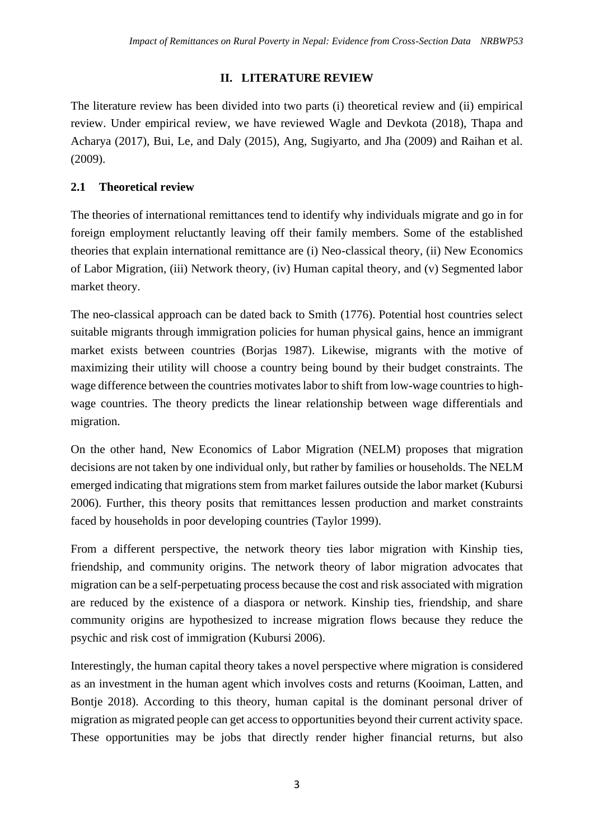## **II. LITERATURE REVIEW**

The literature review has been divided into two parts (i) theoretical review and (ii) empirical review. Under empirical review, we have reviewed Wagle and Devkota (2018), Thapa and Acharya (2017), Bui, Le, and Daly (2015), Ang, Sugiyarto, and Jha (2009) and Raihan et al. (2009).

## **2.1 Theoretical review**

The theories of international remittances tend to identify why individuals migrate and go in for foreign employment reluctantly leaving off their family members. Some of the established theories that explain international remittance are (i) Neo-classical theory, (ii) New Economics of Labor Migration, (iii) Network theory, (iv) Human capital theory, and (v) Segmented labor market theory.

The neo-classical approach can be dated back to Smith (1776). Potential host countries select suitable migrants through immigration policies for human physical gains, hence an immigrant market exists between countries (Borjas 1987). Likewise, migrants with the motive of maximizing their utility will choose a country being bound by their budget constraints. The wage difference between the countries motivates labor to shift from low-wage countries to highwage countries. The theory predicts the linear relationship between wage differentials and migration.

On the other hand, New Economics of Labor Migration (NELM) proposes that migration decisions are not taken by one individual only, but rather by families or households. The NELM emerged indicating that migrations stem from market failures outside the labor market (Kubursi 2006). Further, this theory posits that remittances lessen production and market constraints faced by households in poor developing countries (Taylor 1999).

From a different perspective, the network theory ties labor migration with Kinship ties, friendship, and community origins. The network theory of labor migration advocates that migration can be a self-perpetuating process because the cost and risk associated with migration are reduced by the existence of a diaspora or network. Kinship ties, friendship, and share community origins are hypothesized to increase migration flows because they reduce the psychic and risk cost of immigration (Kubursi 2006).

Interestingly, the human capital theory takes a novel perspective where migration is considered as an investment in the human agent which involves costs and returns (Kooiman, Latten, and Bontje 2018). According to this theory, human capital is the dominant personal driver of migration as migrated people can get access to opportunities beyond their current activity space. These opportunities may be jobs that directly render higher financial returns, but also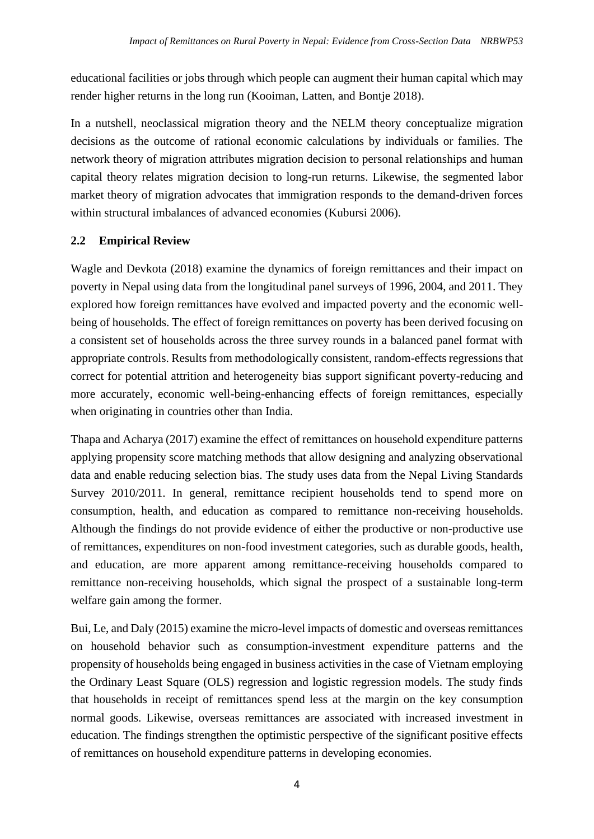educational facilities or jobs through which people can augment their human capital which may render higher returns in the long run (Kooiman, Latten, and Bontje 2018).

In a nutshell, neoclassical migration theory and the NELM theory conceptualize migration decisions as the outcome of rational economic calculations by individuals or families. The network theory of migration attributes migration decision to personal relationships and human capital theory relates migration decision to long-run returns. Likewise, the segmented labor market theory of migration advocates that immigration responds to the demand-driven forces within structural imbalances of advanced economies (Kubursi 2006).

## **2.2 Empirical Review**

Wagle and Devkota (2018) examine the dynamics of foreign remittances and their impact on poverty in Nepal using data from the longitudinal panel surveys of 1996, 2004, and 2011. They explored how foreign remittances have evolved and impacted poverty and the economic wellbeing of households. The effect of foreign remittances on poverty has been derived focusing on a consistent set of households across the three survey rounds in a balanced panel format with appropriate controls. Results from methodologically consistent, random-effects regressions that correct for potential attrition and heterogeneity bias support significant poverty-reducing and more accurately, economic well-being-enhancing effects of foreign remittances, especially when originating in countries other than India.

Thapa and Acharya (2017) examine the effect of remittances on household expenditure patterns applying propensity score matching methods that allow designing and analyzing observational data and enable reducing selection bias. The study uses data from the Nepal Living Standards Survey 2010/2011. In general, remittance recipient households tend to spend more on consumption, health, and education as compared to remittance non-receiving households. Although the findings do not provide evidence of either the productive or non-productive use of remittances, expenditures on non-food investment categories, such as durable goods, health, and education, are more apparent among remittance-receiving households compared to remittance non-receiving households, which signal the prospect of a sustainable long-term welfare gain among the former.

Bui, Le, and Daly (2015) examine the micro-level impacts of domestic and overseas remittances on household behavior such as consumption-investment expenditure patterns and the propensity of households being engaged in business activities in the case of Vietnam employing the Ordinary Least Square (OLS) regression and logistic regression models. The study finds that households in receipt of remittances spend less at the margin on the key consumption normal goods. Likewise, overseas remittances are associated with increased investment in education. The findings strengthen the optimistic perspective of the significant positive effects of remittances on household expenditure patterns in developing economies.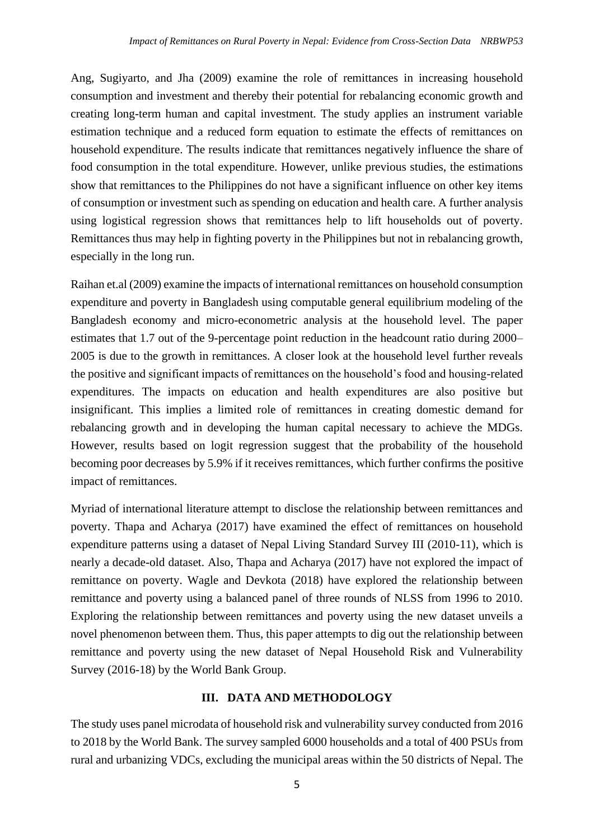Ang, Sugiyarto, and Jha (2009) examine the role of remittances in increasing household consumption and investment and thereby their potential for rebalancing economic growth and creating long-term human and capital investment. The study applies an instrument variable estimation technique and a reduced form equation to estimate the effects of remittances on household expenditure. The results indicate that remittances negatively influence the share of food consumption in the total expenditure. However, unlike previous studies, the estimations show that remittances to the Philippines do not have a significant influence on other key items of consumption or investment such as spending on education and health care. A further analysis using logistical regression shows that remittances help to lift households out of poverty. Remittances thus may help in fighting poverty in the Philippines but not in rebalancing growth, especially in the long run.

Raihan et.al (2009) examine the impacts of international remittances on household consumption expenditure and poverty in Bangladesh using computable general equilibrium modeling of the Bangladesh economy and micro-econometric analysis at the household level. The paper estimates that 1.7 out of the 9-percentage point reduction in the headcount ratio during 2000– 2005 is due to the growth in remittances. A closer look at the household level further reveals the positive and significant impacts of remittances on the household's food and housing-related expenditures. The impacts on education and health expenditures are also positive but insignificant. This implies a limited role of remittances in creating domestic demand for rebalancing growth and in developing the human capital necessary to achieve the MDGs. However, results based on logit regression suggest that the probability of the household becoming poor decreases by 5.9% if it receives remittances, which further confirms the positive impact of remittances.

Myriad of international literature attempt to disclose the relationship between remittances and poverty. Thapa and Acharya (2017) have examined the effect of remittances on household expenditure patterns using a dataset of Nepal Living Standard Survey III (2010-11), which is nearly a decade-old dataset. Also, Thapa and Acharya (2017) have not explored the impact of remittance on poverty. Wagle and Devkota (2018) have explored the relationship between remittance and poverty using a balanced panel of three rounds of NLSS from 1996 to 2010. Exploring the relationship between remittances and poverty using the new dataset unveils a novel phenomenon between them. Thus, this paper attempts to dig out the relationship between remittance and poverty using the new dataset of Nepal Household Risk and Vulnerability Survey (2016-18) by the World Bank Group.

### **III. DATA AND METHODOLOGY**

The study uses panel microdata of household risk and vulnerability survey conducted from 2016 to 2018 by the World Bank. The survey sampled 6000 households and a total of 400 PSUs from rural and urbanizing VDCs, excluding the municipal areas within the 50 districts of Nepal. The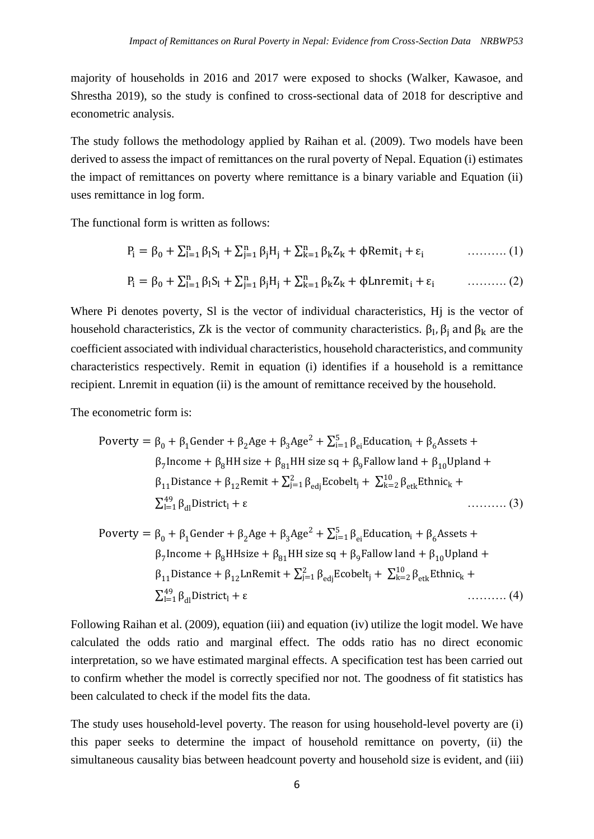majority of households in 2016 and 2017 were exposed to shocks (Walker, Kawasoe, and Shrestha 2019), so the study is confined to cross-sectional data of 2018 for descriptive and econometric analysis.

The study follows the methodology applied by Raihan et al. (2009). Two models have been derived to assess the impact of remittances on the rural poverty of Nepal. Equation (i) estimates the impact of remittances on poverty where remittance is a binary variable and Equation (ii) uses remittance in log form.

The functional form is written as follows:

$$
P_i = \beta_0 + \sum_{l=1}^{n} \beta_l S_l + \sum_{j=1}^{n} \beta_j H_j + \sum_{k=1}^{n} \beta_k Z_k + \phi \text{Remit}_i + \varepsilon_i \tag{1}
$$

$$
P_i = \beta_0 + \sum_{l=1}^n \beta_l S_l + \sum_{j=1}^n \beta_j H_j + \sum_{k=1}^n \beta_k Z_k + \phi \text{Lnremit}_i + \varepsilon_i \qquad \qquad (2)
$$

Where Pi denotes poverty, Sl is the vector of individual characteristics, H<sub>i</sub> is the vector of household characteristics, Zk is the vector of community characteristics.  $\beta_1$ ,  $\beta_j$  and  $\beta_k$  are the coefficient associated with individual characteristics, household characteristics, and community characteristics respectively. Remit in equation (i) identifies if a household is a remittance recipient. Lnremit in equation (ii) is the amount of remittance received by the household.

The econometric form is:

\n
$$
\text{Powerty} = \beta_0 + \beta_1 \text{Gender} + \beta_2 \text{Age} + \beta_3 \text{Age}^2 + \sum_{i=1}^5 \beta_{ei} \text{Education}_i + \beta_6 \text{Assets} + \beta_7 \text{Income} + \beta_8 \text{HH size} + \beta_{81} \text{HH size} + \beta_{91} \text{H} \text{Size} + \beta_{9} \text{Fallow land} + \beta_{10} \text{Upland} + \beta_{11} \text{Distance} + \beta_{12} \text{Remit} + \sum_{i=1}^2 \beta_{edj} \text{Ecobelt}_i + \sum_{k=2}^{10} \beta_{etk} \text{Ethnic}_k + \sum_{i=1}^{49} \beta_{d1} \text{Distribit}
$$
\n

\n
$$
\text{Powerty} = \beta_0 + \beta_1 \text{Gender} + \beta_2 \text{Age} + \beta_3 \text{Age}^2 + \sum_{i=1}^5 \beta_{ei} \text{Education}_i + \beta_6 \text{Assets} + \beta_7 \text{Income} + \beta_8 \text{HHsize} + \beta_{81} \text{HH size sq} + \beta_9 \text{Fallow land} + \beta_{10} \text{Upland} + \beta_{11} \text{Distance} + \beta_{12} \text{LnRemit} + \sum_{j=1}^2 \beta_{edj} \text{Ecobelt}_j + \sum_{k=2}^{10} \beta_{etk} \text{Ethnic}_k + \sum_{i=1}^{49} \beta_{di} \text{District}_i + \varepsilon \quad \text{(4)}
$$
\n

Following Raihan et al. (2009), equation (iii) and equation (iv) utilize the logit model. We have calculated the odds ratio and marginal effect. The odds ratio has no direct economic interpretation, so we have estimated marginal effects. A specification test has been carried out to confirm whether the model is correctly specified nor not. The goodness of fit statistics has been calculated to check if the model fits the data.

The study uses household-level poverty. The reason for using household-level poverty are (i) this paper seeks to determine the impact of household remittance on poverty, (ii) the simultaneous causality bias between headcount poverty and household size is evident, and (iii)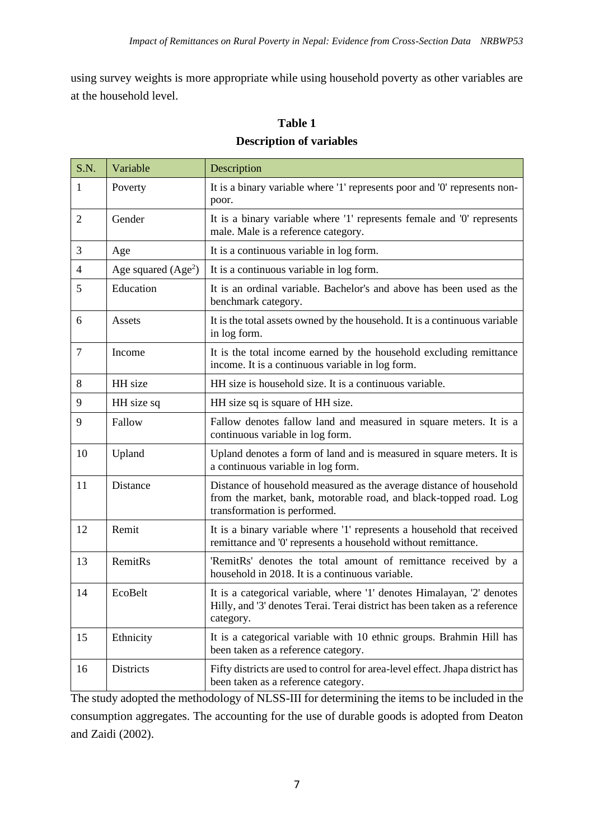using survey weights is more appropriate while using household poverty as other variables are at the household level.

## **Table 1**

## **Description of variables**

| S.N.   | Variable             | Description                                                                                                                                                              |  |  |  |
|--------|----------------------|--------------------------------------------------------------------------------------------------------------------------------------------------------------------------|--|--|--|
| 1      | Poverty              | It is a binary variable where '1' represents poor and '0' represents non-<br>poor.                                                                                       |  |  |  |
| 2      | Gender               | It is a binary variable where '1' represents female and '0' represents<br>male. Male is a reference category.                                                            |  |  |  |
| 3      | Age                  | It is a continuous variable in log form.                                                                                                                                 |  |  |  |
| 4      | Age squared $(Age2)$ | It is a continuous variable in log form.                                                                                                                                 |  |  |  |
| 5      | Education            | It is an ordinal variable. Bachelor's and above has been used as the<br>benchmark category.                                                                              |  |  |  |
| 6      | Assets               | It is the total assets owned by the household. It is a continuous variable<br>in log form.                                                                               |  |  |  |
| $\tau$ | Income               | It is the total income earned by the household excluding remittance<br>income. It is a continuous variable in log form.                                                  |  |  |  |
| 8      | HH size              | HH size is household size. It is a continuous variable.                                                                                                                  |  |  |  |
| 9      | HH size sq           | HH size sq is square of HH size.                                                                                                                                         |  |  |  |
| 9      | Fallow               | Fallow denotes fallow land and measured in square meters. It is a<br>continuous variable in log form.                                                                    |  |  |  |
| 10     | Upland               | Upland denotes a form of land and is measured in square meters. It is<br>a continuous variable in log form.                                                              |  |  |  |
| 11     | Distance             | Distance of household measured as the average distance of household<br>from the market, bank, motorable road, and black-topped road. Log<br>transformation is performed. |  |  |  |
| 12     | Remit                | It is a binary variable where '1' represents a household that received<br>remittance and '0' represents a household without remittance.                                  |  |  |  |
| 13     | RemitRs              | 'RemitRs' denotes the total amount of remittance received by a<br>household in 2018. It is a continuous variable.                                                        |  |  |  |
| 14     | EcoBelt              | It is a categorical variable, where '1' denotes Himalayan, '2' denotes<br>Hilly, and '3' denotes Terai. Terai district has been taken as a reference<br>category.        |  |  |  |
| 15     | Ethnicity            | It is a categorical variable with 10 ethnic groups. Brahmin Hill has<br>been taken as a reference category.                                                              |  |  |  |
| 16     | Districts            | Fifty districts are used to control for area-level effect. Jhapa district has<br>been taken as a reference category.                                                     |  |  |  |

The study adopted the methodology of NLSS-III for determining the items to be included in the consumption aggregates. The accounting for the use of durable goods is adopted from Deaton and Zaidi (2002).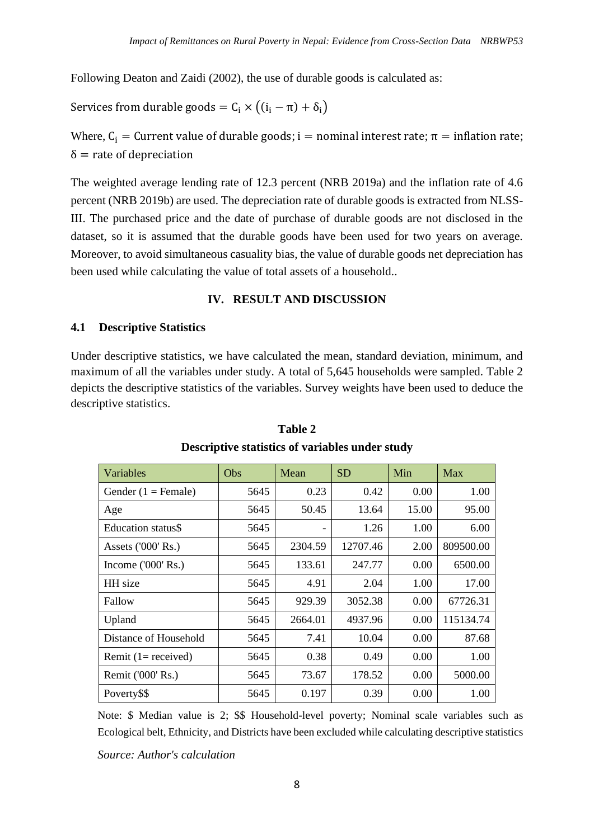Following Deaton and Zaidi (2002), the use of durable goods is calculated as:

Services from durable goods =  $C_i \times ((i_i - \pi) + \delta_i)$ 

Where,  $C_i$  = Current value of durable goods; i = nominal interest rate;  $\pi$  = inflation rate;  $\delta$  = rate of depreciation

The weighted average lending rate of 12.3 percent (NRB 2019a) and the inflation rate of 4.6 percent (NRB 2019b) are used. The depreciation rate of durable goods is extracted from NLSS-III. The purchased price and the date of purchase of durable goods are not disclosed in the dataset, so it is assumed that the durable goods have been used for two years on average. Moreover, to avoid simultaneous casuality bias, the value of durable goods net depreciation has been used while calculating the value of total assets of a household..

### **IV. RESULT AND DISCUSSION**

#### **4.1 Descriptive Statistics**

Under descriptive statistics, we have calculated the mean, standard deviation, minimum, and maximum of all the variables under study. A total of 5,645 households were sampled. Table 2 depicts the descriptive statistics of the variables. Survey weights have been used to deduce the descriptive statistics.

| Variables                  | Obs  | Mean    | <b>SD</b> | Min   | Max       |
|----------------------------|------|---------|-----------|-------|-----------|
| Gender $(1 =$ Female)      | 5645 | 0.23    | 0.42      | 0.00  | 1.00      |
| Age                        | 5645 | 50.45   | 13.64     | 15.00 | 95.00     |
| Education status\$         | 5645 |         | 1.26      | 1.00  | 6.00      |
| Assets ('000' Rs.)         | 5645 | 2304.59 | 12707.46  | 2.00  | 809500.00 |
| Income $(000 \text{ Rs.})$ | 5645 | 133.61  | 247.77    | 0.00  | 6500.00   |
| HH size                    | 5645 | 4.91    | 2.04      | 1.00  | 17.00     |
| Fallow                     | 5645 | 929.39  | 3052.38   | 0.00  | 67726.31  |
| Upland                     | 5645 | 2664.01 | 4937.96   | 0.00  | 115134.74 |
| Distance of Household      | 5645 | 7.41    | 10.04     | 0.00  | 87.68     |
| Remit $(1 = received)$     | 5645 | 0.38    | 0.49      | 0.00  | 1.00      |
| Remit ('000' Rs.)          | 5645 | 73.67   | 178.52    | 0.00  | 5000.00   |
| Poverty\$\$                | 5645 | 0.197   | 0.39      | 0.00  | 1.00      |

## **Table 2 Descriptive statistics of variables under study**

Note: \$ Median value is 2; \$\$ Household-level poverty; Nominal scale variables such as Ecological belt, Ethnicity, and Districts have been excluded while calculating descriptive statistics

*Source: Author's calculation*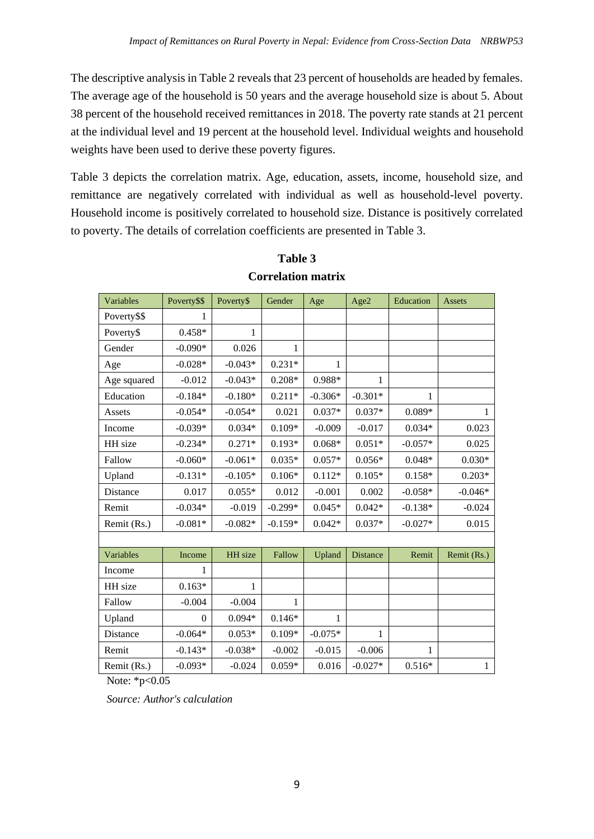The descriptive analysis in Table 2 reveals that 23 percent of households are headed by females. The average age of the household is 50 years and the average household size is about 5. About 38 percent of the household received remittances in 2018. The poverty rate stands at 21 percent at the individual level and 19 percent at the household level. Individual weights and household weights have been used to derive these poverty figures.

Table 3 depicts the correlation matrix. Age, education, assets, income, household size, and remittance are negatively correlated with individual as well as household-level poverty. Household income is positively correlated to household size. Distance is positively correlated to poverty. The details of correlation coefficients are presented in Table 3.

| Variables   | Poverty\$\$      | Poverty\$ | Gender       | Age       | Age2            | Education | <b>Assets</b> |
|-------------|------------------|-----------|--------------|-----------|-----------------|-----------|---------------|
| Poverty\$\$ | 1                |           |              |           |                 |           |               |
| Poverty\$   | $0.458*$         | 1         |              |           |                 |           |               |
| Gender      | $-0.090*$        | 0.026     | $\mathbf{1}$ |           |                 |           |               |
| Age         | $-0.028*$        | $-0.043*$ | $0.231*$     | 1         |                 |           |               |
| Age squared | $-0.012$         | $-0.043*$ | $0.208*$     | $0.988*$  | 1               |           |               |
| Education   | $-0.184*$        | $-0.180*$ | $0.211*$     | $-0.306*$ | $-0.301*$       | 1         |               |
| Assets      | $-0.054*$        | $-0.054*$ | 0.021        | $0.037*$  | $0.037*$        | $0.089*$  | 1             |
| Income      | $-0.039*$        | $0.034*$  | $0.109*$     | $-0.009$  | $-0.017$        | $0.034*$  | 0.023         |
| HH size     | $-0.234*$        | $0.271*$  | $0.193*$     | $0.068*$  | $0.051*$        | $-0.057*$ | 0.025         |
| Fallow      | $-0.060*$        | $-0.061*$ | $0.035*$     | $0.057*$  | $0.056*$        | $0.048*$  | $0.030*$      |
| Upland      | $-0.131*$        | $-0.105*$ | $0.106*$     | $0.112*$  | $0.105*$        | $0.158*$  | $0.203*$      |
| Distance    | 0.017            | $0.055*$  | 0.012        | $-0.001$  | 0.002           | $-0.058*$ | $-0.046*$     |
| Remit       | $-0.034*$        | $-0.019$  | $-0.299*$    | $0.045*$  | $0.042*$        | $-0.138*$ | $-0.024$      |
| Remit (Rs.) | $-0.081*$        | $-0.082*$ | $-0.159*$    | $0.042*$  | $0.037*$        | $-0.027*$ | 0.015         |
|             |                  |           |              |           |                 |           |               |
| Variables   | Income           | HH size   | Fallow       | Upland    | <b>Distance</b> | Remit     | Remit (Rs.)   |
| Income      | 1                |           |              |           |                 |           |               |
| HH size     | $0.163*$         | 1         |              |           |                 |           |               |
| Fallow      | $-0.004$         | $-0.004$  | 1            |           |                 |           |               |
| Upland      | $\boldsymbol{0}$ | $0.094*$  | $0.146*$     | 1         |                 |           |               |
| Distance    | $-0.064*$        | $0.053*$  | $0.109*$     | $-0.075*$ | 1               |           |               |
| Remit       | $-0.143*$        | $-0.038*$ | $-0.002$     | $-0.015$  | $-0.006$        | 1         |               |
| Remit (Rs.) | $-0.093*$        | $-0.024$  | $0.059*$     | 0.016     | $-0.027*$       | $0.516*$  | $\mathbf{1}$  |

# **Table 3 Correlation matrix**

Note: \*p<0.05

*Source: Author's calculation*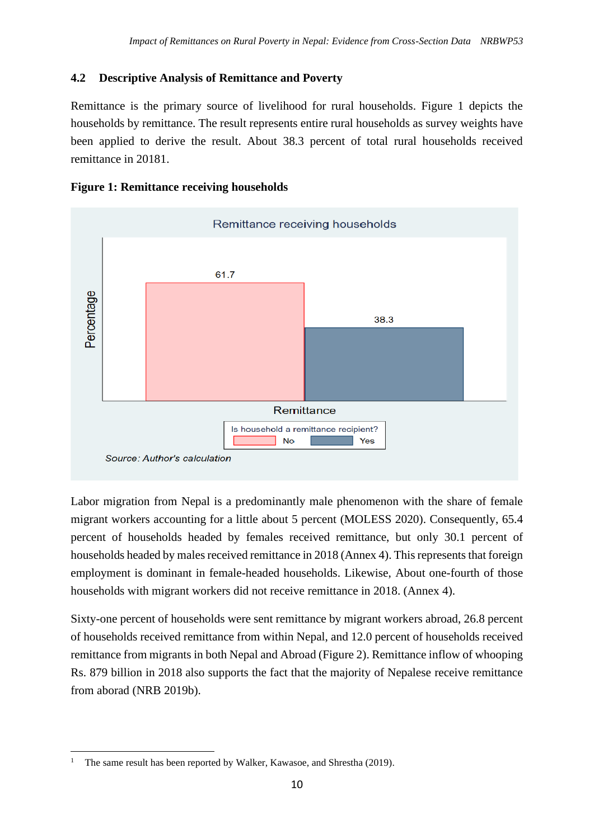## **4.2 Descriptive Analysis of Remittance and Poverty**

Remittance is the primary source of livelihood for rural households. Figure 1 depicts the households by remittance. The result represents entire rural households as survey weights have been applied to derive the result. About 38.3 percent of total rural households received remittance in 20181.





Labor migration from Nepal is a predominantly male phenomenon with the share of female migrant workers accounting for a little about 5 percent (MOLESS 2020). Consequently, 65.4 percent of households headed by females received remittance, but only 30.1 percent of households headed by males received remittance in 2018 (Annex 4). This represents that foreign employment is dominant in female-headed households. Likewise, About one-fourth of those households with migrant workers did not receive remittance in 2018. (Annex 4).

Sixty-one percent of households were sent remittance by migrant workers abroad, 26.8 percent of households received remittance from within Nepal, and 12.0 percent of households received remittance from migrants in both Nepal and Abroad (Figure 2). Remittance inflow of whooping Rs. 879 billion in 2018 also supports the fact that the majority of Nepalese receive remittance from aborad (NRB 2019b).

The same result has been reported by Walker, Kawasoe, and Shrestha (2019).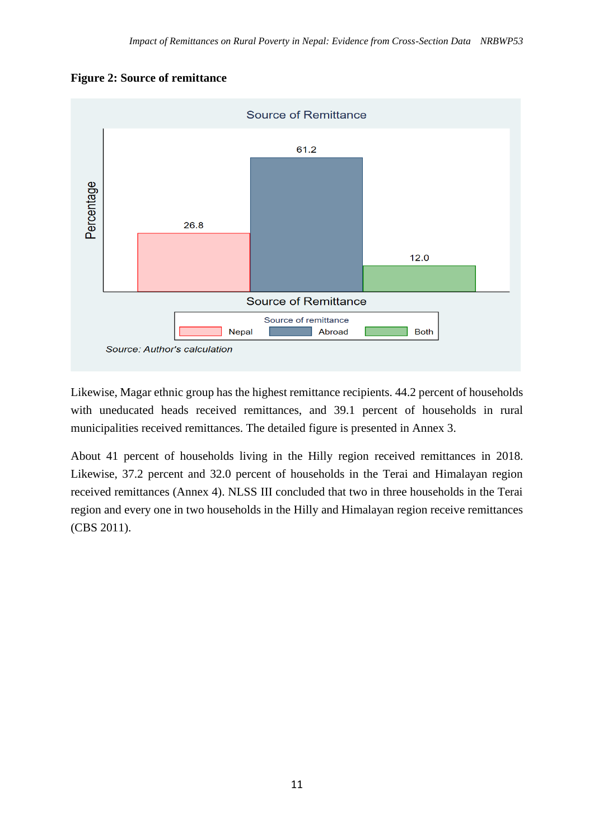### **Figure 2: Source of remittance**



Likewise, Magar ethnic group has the highest remittance recipients. 44.2 percent of households with uneducated heads received remittances, and 39.1 percent of households in rural municipalities received remittances. The detailed figure is presented in Annex 3.

About 41 percent of households living in the Hilly region received remittances in 2018. Likewise, 37.2 percent and 32.0 percent of households in the Terai and Himalayan region received remittances (Annex 4). NLSS III concluded that two in three households in the Terai region and every one in two households in the Hilly and Himalayan region receive remittances (CBS 2011).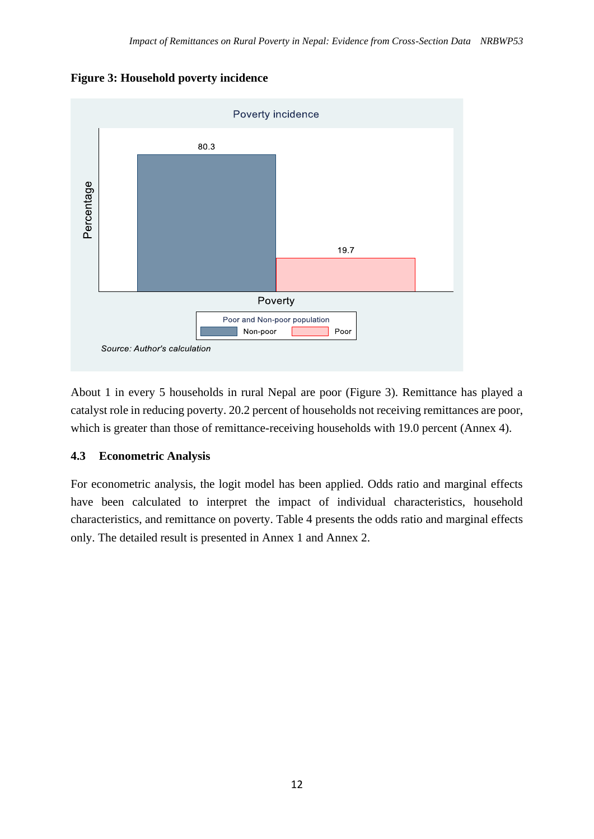



About 1 in every 5 households in rural Nepal are poor (Figure 3). Remittance has played a catalyst role in reducing poverty. 20.2 percent of households not receiving remittances are poor, which is greater than those of remittance-receiving households with 19.0 percent (Annex 4).

### **4.3 Econometric Analysis**

For econometric analysis, the logit model has been applied. Odds ratio and marginal effects have been calculated to interpret the impact of individual characteristics, household characteristics, and remittance on poverty. Table 4 presents the odds ratio and marginal effects only. The detailed result is presented in Annex 1 and Annex 2.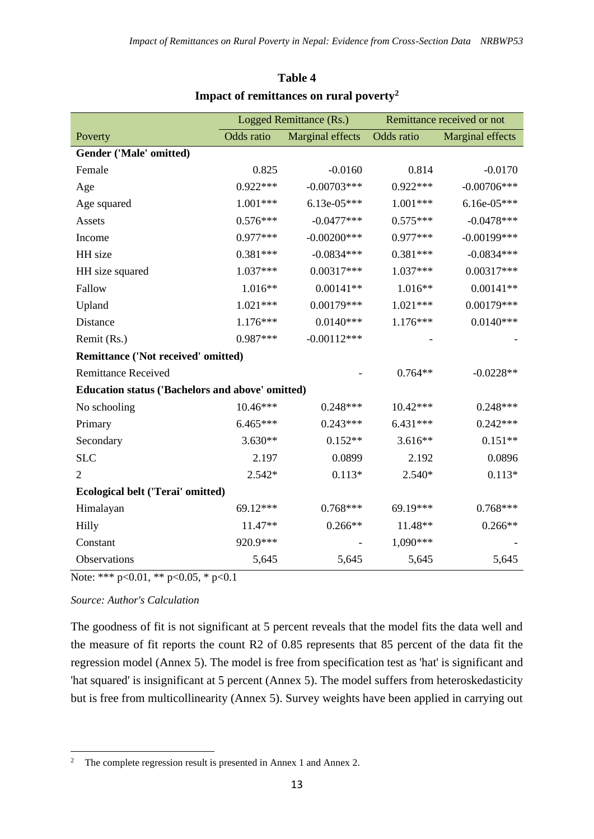|                                                         | Logged Remittance (Rs.) |                  | Remittance received or not |                         |
|---------------------------------------------------------|-------------------------|------------------|----------------------------|-------------------------|
| Poverty                                                 | Odds ratio              | Marginal effects | Odds ratio                 | <b>Marginal effects</b> |
| Gender ('Male' omitted)                                 |                         |                  |                            |                         |
| Female                                                  | 0.825                   | $-0.0160$        | 0.814                      | $-0.0170$               |
| Age                                                     | $0.922***$              | $-0.00703***$    | $0.922***$                 | $-0.00706***$           |
| Age squared                                             | $1.001***$              | $6.13e-05***$    | $1.001***$                 | $6.16e-05***$           |
| Assets                                                  | $0.576***$              | $-0.0477***$     | $0.575***$                 | $-0.0478***$            |
| Income                                                  | 0.977***                | $-0.00200$ ***   | $0.977***$                 | $-0.00199$ ***          |
| HH size                                                 | $0.381***$              | $-0.0834***$     | $0.381***$                 | $-0.0834***$            |
| HH size squared                                         | 1.037***                | $0.00317***$     | 1.037***                   | $0.00317***$            |
| Fallow                                                  | $1.016**$               | $0.00141**$      | $1.016**$                  | $0.00141**$             |
| Upland                                                  | $1.021***$              | $0.00179***$     | $1.021***$                 | $0.00179***$            |
| Distance                                                | $1.176***$              | $0.0140***$      | $1.176***$                 | $0.0140***$             |
| Remit (Rs.)                                             | $0.987***$              | $-0.00112***$    |                            |                         |
| Remittance ('Not received' omitted)                     |                         |                  |                            |                         |
| <b>Remittance Received</b>                              |                         |                  | $0.764**$                  | $-0.0228**$             |
| <b>Education status ('Bachelors and above' omitted)</b> |                         |                  |                            |                         |
| No schooling                                            | $10.46***$              | $0.248***$       | $10.42***$                 | $0.248***$              |
| Primary                                                 | 6.465***                | $0.243***$       | $6.431***$                 | $0.242***$              |
| Secondary                                               | $3.630**$               | $0.152**$        | $3.616**$                  | $0.151**$               |
| <b>SLC</b>                                              | 2.197                   | 0.0899           | 2.192                      | 0.0896                  |
| $\overline{2}$                                          | $2.542*$                | $0.113*$         | 2.540*                     | $0.113*$                |
| <b>Ecological belt ('Terai' omitted)</b>                |                         |                  |                            |                         |
| Himalayan                                               | 69.12***                | $0.768***$       | 69.19***                   | $0.768***$              |
| Hilly                                                   | 11.47**                 | $0.266**$        | 11.48**                    | $0.266**$               |
| Constant                                                | 920.9***                |                  | 1,090***                   |                         |
| Observations                                            | 5,645                   | 5,645            | 5,645                      | 5,645                   |

# **Table 4 Impact of remittances on rural poverty<sup>2</sup>**

Note: \*\*\* p<0.01, \*\* p<0.05, \* p<0.1

*Source: Author's Calculation*

The goodness of fit is not significant at 5 percent reveals that the model fits the data well and the measure of fit reports the count R2 of 0.85 represents that 85 percent of the data fit the regression model (Annex 5). The model is free from specification test as 'hat' is significant and 'hat squared' is insignificant at 5 percent (Annex 5). The model suffers from heteroskedasticity but is free from multicollinearity (Annex 5). Survey weights have been applied in carrying out

<sup>&</sup>lt;sup>2</sup> The complete regression result is presented in Annex 1 and Annex 2.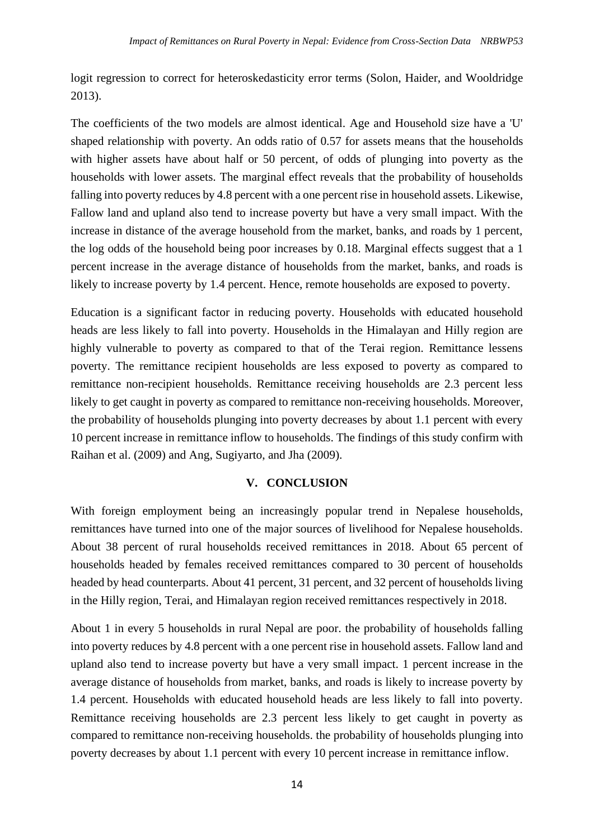logit regression to correct for heteroskedasticity error terms (Solon, Haider, and Wooldridge 2013).

The coefficients of the two models are almost identical. Age and Household size have a 'U' shaped relationship with poverty. An odds ratio of 0.57 for assets means that the households with higher assets have about half or 50 percent, of odds of plunging into poverty as the households with lower assets. The marginal effect reveals that the probability of households falling into poverty reduces by 4.8 percent with a one percent rise in household assets. Likewise, Fallow land and upland also tend to increase poverty but have a very small impact. With the increase in distance of the average household from the market, banks, and roads by 1 percent, the log odds of the household being poor increases by 0.18. Marginal effects suggest that a 1 percent increase in the average distance of households from the market, banks, and roads is likely to increase poverty by 1.4 percent. Hence, remote households are exposed to poverty.

Education is a significant factor in reducing poverty. Households with educated household heads are less likely to fall into poverty. Households in the Himalayan and Hilly region are highly vulnerable to poverty as compared to that of the Terai region. Remittance lessens poverty. The remittance recipient households are less exposed to poverty as compared to remittance non-recipient households. Remittance receiving households are 2.3 percent less likely to get caught in poverty as compared to remittance non-receiving households. Moreover, the probability of households plunging into poverty decreases by about 1.1 percent with every 10 percent increase in remittance inflow to households. The findings of this study confirm with Raihan et al. (2009) and Ang, Sugiyarto, and Jha (2009).

### **V. CONCLUSION**

With foreign employment being an increasingly popular trend in Nepalese households, remittances have turned into one of the major sources of livelihood for Nepalese households. About 38 percent of rural households received remittances in 2018. About 65 percent of households headed by females received remittances compared to 30 percent of households headed by head counterparts. About 41 percent, 31 percent, and 32 percent of households living in the Hilly region, Terai, and Himalayan region received remittances respectively in 2018.

About 1 in every 5 households in rural Nepal are poor. the probability of households falling into poverty reduces by 4.8 percent with a one percent rise in household assets. Fallow land and upland also tend to increase poverty but have a very small impact. 1 percent increase in the average distance of households from market, banks, and roads is likely to increase poverty by 1.4 percent. Households with educated household heads are less likely to fall into poverty. Remittance receiving households are 2.3 percent less likely to get caught in poverty as compared to remittance non-receiving households. the probability of households plunging into poverty decreases by about 1.1 percent with every 10 percent increase in remittance inflow.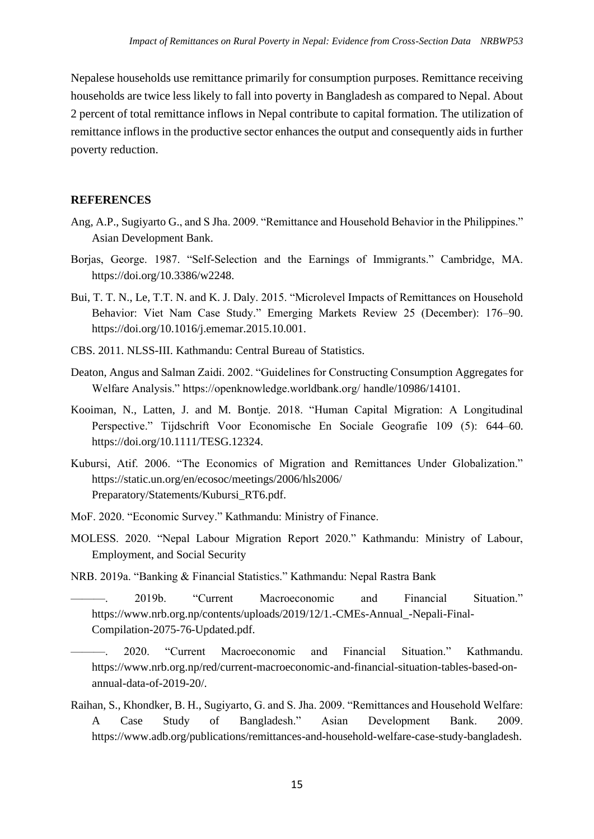Nepalese households use remittance primarily for consumption purposes. Remittance receiving households are twice less likely to fall into poverty in Bangladesh as compared to Nepal. About 2 percent of total remittance inflows in Nepal contribute to capital formation. The utilization of remittance inflows in the productive sector enhances the output and consequently aids in further poverty reduction.

#### **REFERENCES**

- Ang, A.P., Sugiyarto G., and S Jha. 2009. "Remittance and Household Behavior in the Philippines." Asian Development Bank.
- Borjas, George. 1987. "Self-Selection and the Earnings of Immigrants." Cambridge, MA. https://doi.org/10.3386/w2248.
- Bui, T. T. N., Le, T.T. N. and K. J. Daly. 2015. "Microlevel Impacts of Remittances on Household Behavior: Viet Nam Case Study." Emerging Markets Review 25 (December): 176–90. https://doi.org/10.1016/j.ememar.2015.10.001.
- CBS. 2011. NLSS-III. Kathmandu: Central Bureau of Statistics.
- Deaton, Angus and Salman Zaidi. 2002. "Guidelines for Constructing Consumption Aggregates for Welfare Analysis." https://openknowledge.worldbank.org/ handle/10986/14101.
- Kooiman, N., Latten, J. and M. Bontje. 2018. "Human Capital Migration: A Longitudinal Perspective." Tijdschrift Voor Economische En Sociale Geografie 109 (5): 644–60. https://doi.org/10.1111/TESG.12324.
- Kubursi, Atif. 2006. "The Economics of Migration and Remittances Under Globalization." https://static.un.org/en/ecosoc/meetings/2006/hls2006/ Preparatory/Statements/Kubursi\_RT6.pdf.
- MoF. 2020. "Economic Survey." Kathmandu: Ministry of Finance.
- MOLESS. 2020. "Nepal Labour Migration Report 2020." Kathmandu: Ministry of Labour, Employment, and Social Security
- NRB. 2019a. "Banking & Financial Statistics." Kathmandu: Nepal Rastra Bank
	- ———. 2019b. "Current Macroeconomic and Financial Situation." https://www.nrb.org.np/contents/uploads/2019/12/1.-CMEs-Annual\_-Nepali-Final-Compilation-2075-76-Updated.pdf.
- ———. 2020. "Current Macroeconomic and Financial Situation." Kathmandu. https://www.nrb.org.np/red/current-macroeconomic-and-financial-situation-tables-based-onannual-data-of-2019-20/.
- Raihan, S., Khondker, B. H., Sugiyarto, G. and S. Jha. 2009. "Remittances and Household Welfare: A Case Study of Bangladesh." Asian Development Bank. 2009. https://www.adb.org/publications/remittances-and-household-welfare-case-study-bangladesh.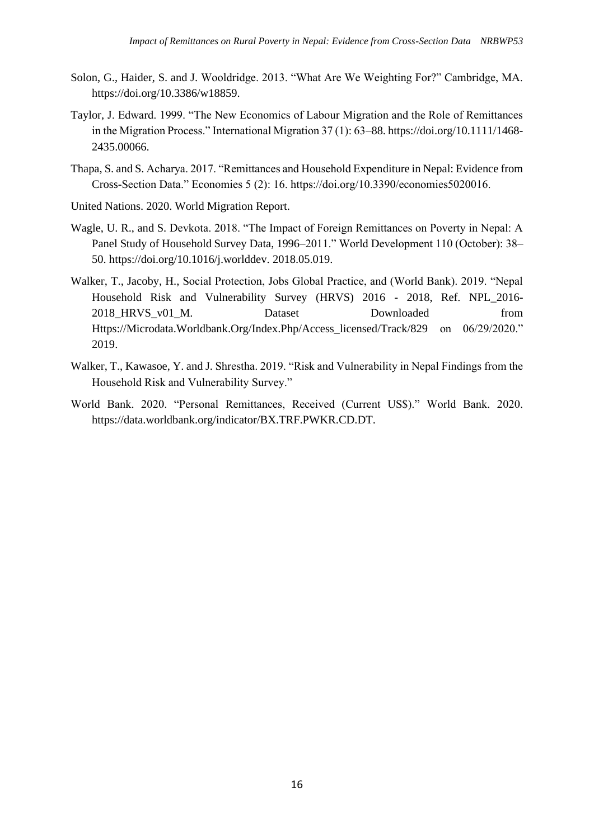- Solon, G., Haider, S. and J. Wooldridge. 2013. "What Are We Weighting For?" Cambridge, MA. https://doi.org/10.3386/w18859.
- Taylor, J. Edward. 1999. "The New Economics of Labour Migration and the Role of Remittances in the Migration Process." International Migration 37 (1): 63–88. https://doi.org/10.1111/1468- 2435.00066.
- Thapa, S. and S. Acharya. 2017. "Remittances and Household Expenditure in Nepal: Evidence from Cross-Section Data." Economies 5 (2): 16. https://doi.org/10.3390/economies5020016.
- United Nations. 2020. World Migration Report.
- Wagle, U. R., and S. Devkota. 2018. "The Impact of Foreign Remittances on Poverty in Nepal: A Panel Study of Household Survey Data, 1996–2011." World Development 110 (October): 38– 50. https://doi.org/10.1016/j.worlddev. 2018.05.019.
- Walker, T., Jacoby, H., Social Protection, Jobs Global Practice, and (World Bank). 2019. "Nepal Household Risk and Vulnerability Survey (HRVS) 2016 - 2018, Ref. NPL\_2016- 2018 HRVS v01 M. Dataset Downloaded from Https://Microdata.Worldbank.Org/Index.Php/Access\_licensed/Track/829 on 06/29/2020." 2019.
- Walker, T., Kawasoe, Y. and J. Shrestha. 2019. "Risk and Vulnerability in Nepal Findings from the Household Risk and Vulnerability Survey."
- World Bank. 2020. "Personal Remittances, Received (Current US\$)." World Bank. 2020. https://data.worldbank.org/indicator/BX.TRF.PWKR.CD.DT.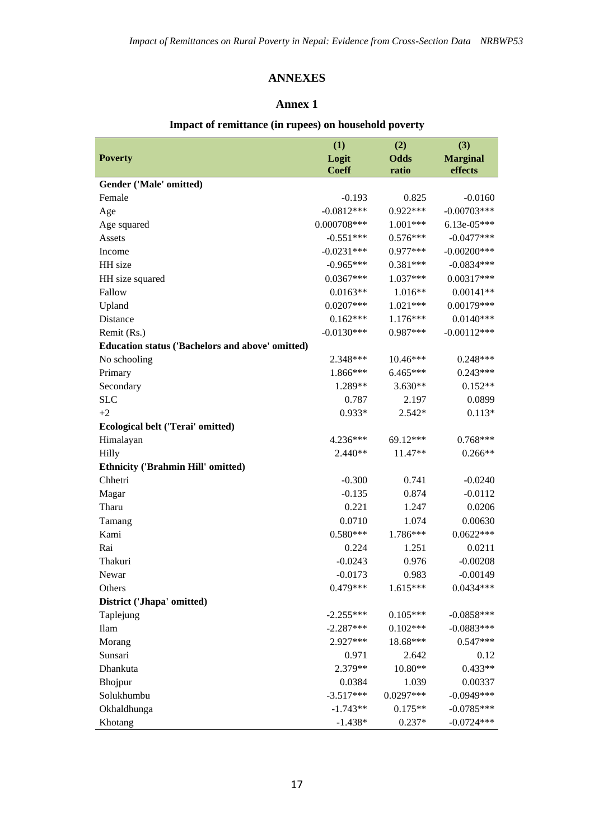### **ANNEXES**

#### **Annex 1**

#### **Poverty (1) (2) (3) Logit Coeff Odds ratio Marginal effects Gender ('Male' omitted)** Female **19.193** 10.825 -0.0160 Age  $-0.0812***$   $0.922***$   $-0.00703***$ Age squared 0.000708\*\*\* 1.001\*\*\* 6.13e-05\*\*\* Assets -0.576\*\*\* 0.576\*\*\* -0.0477\*\*\* Income  $-0.0231***$   $-0.0277***$   $-0.00200***$ HH size  $-0.965***$   $-0.381***$   $-0.0834***$ HH size squared 0.0367\*\*\* 1.037\*\*\* 0.00317\*\*\* Fallow  $0.0163**$   $1.016**$   $0.00141**$ Upland 0.0207\*\*\* 1.021\*\*\* 0.00179\*\*\* Distance 0.0140\*\*\* 0.0140\*\*\* 1.176\*\*\* 0.0140\*\*\* Remit (Rs.)  $-0.0130***$   $-0.987***$   $-0.00112***$ **Education status ('Bachelors and above' omitted)** No schooling 2.348\*\*\* 10.46\*\*\* 0.248\*\*\* Primary 1.866\*\*\* 6.465\*\*\* 0.243\*\*\* Secondary 2.289\*\* 3.630\*\* 0.152\*\* SLC 0.787 2.197 0.0899  $+2$  0.933\* 2.542\* 0.113\* **Ecological belt ('Terai' omitted)** Himalayan 4.236\*\*\* 69.12\*\*\* 0.768\*\*\* Hilly 2.440\*\* 11.47\*\* 0.266\*\* **Ethnicity ('Brahmin Hill' omitted)** Chhetri -0.300 0.741 -0.0240 Magar 6.0112 -0.135 0.874 -0.0112 Tharu 1.247 0.0206 Tamang 0.0710 1.074 0.00630 Kami 0.580\*\*\* 1.786\*\*\* 0.0622\*\*\* Rai 20.224 1.251 0.0211 Thakuri -0.0243 0.976 -0.00208 Newar **-0.0173** 0.983 -0.00149 Others 0.0434\*\*\* 0.0434\*\*\* 0.0434\*\*\* 0.0434\*\*\* 0.0434\*\*\* 0.0434\*\*\* 0.0434\*\*\* 0.0434 **District ('Jhapa' omitted)** Taplejung -2.255\*\*\* 0.105\*\*\* -0.0858\*\*\*  $\text{Ilam}$   $-2.287***$   $0.102***$   $-0.0883***$ Morang 2.927\*\*\* 18.68\*\*\* 0.547\*\*\* Sunsari 0.971 2.642 0.12 Dhankuta 2.379\*\* 10.80\*\* 0.433\*\* Bhojpur 0.0384 1.039 0.00337 Solukhumbu -3.517\*\*\* 0.0297\*\*\* -0.0949\*\*\* Okhaldhunga -1.743\*\* 0.175\*\* -0.0785\*\*\* Khotang 1.438\* 0.237\* -0.0724\*\*\*

#### **Impact of remittance (in rupees) on household poverty**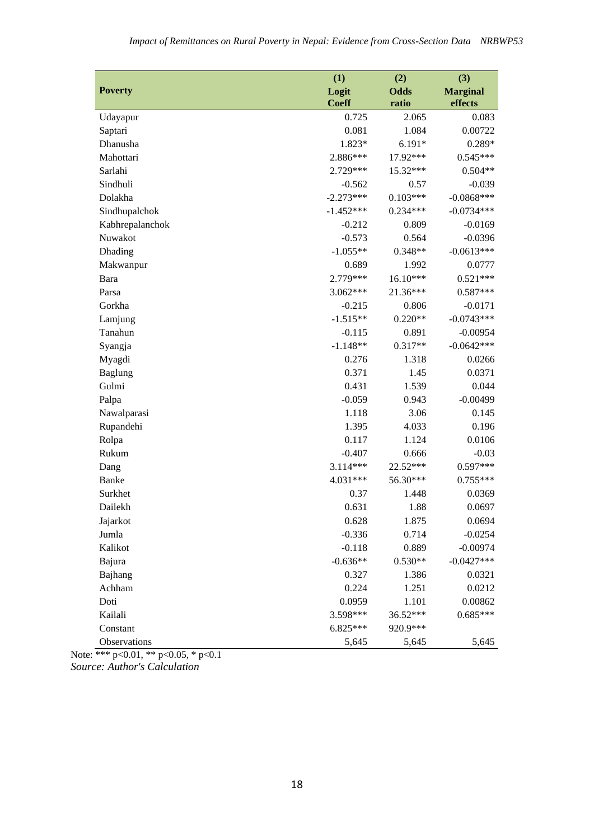|                 | (1)          | (2)         | (3)             |
|-----------------|--------------|-------------|-----------------|
| <b>Poverty</b>  | Logit        | <b>Odds</b> | <b>Marginal</b> |
|                 | <b>Coeff</b> | ratio       | effects         |
| Udayapur        | 0.725        | 2.065       | 0.083           |
| Saptari         | 0.081        | 1.084       | 0.00722         |
| Dhanusha        | 1.823*       | $6.191*$    | 0.289*          |
| Mahottari       | 2.886***     | 17.92***    | $0.545***$      |
| Sarlahi         | 2.729***     | 15.32***    | $0.504**$       |
| Sindhuli        | $-0.562$     | 0.57        | $-0.039$        |
| Dolakha         | $-2.273***$  | $0.103***$  | $-0.0868***$    |
| Sindhupalchok   | $-1.452***$  | $0.234***$  | $-0.0734***$    |
| Kabhrepalanchok | $-0.212$     | 0.809       | $-0.0169$       |
| Nuwakot         | $-0.573$     | 0.564       | $-0.0396$       |
| Dhading         | $-1.055**$   | $0.348**$   | $-0.0613***$    |
| Makwanpur       | 0.689        | 1.992       | 0.0777          |
| Bara            | 2.779***     | $16.10***$  | $0.521***$      |
| Parsa           | 3.062***     | 21.36***    | $0.587***$      |
| Gorkha          | $-0.215$     | 0.806       | $-0.0171$       |
| Lamjung         | $-1.515**$   | $0.220**$   | $-0.0743***$    |
| Tanahun         | $-0.115$     | 0.891       | $-0.00954$      |
| Syangja         | $-1.148**$   | $0.317**$   | $-0.0642***$    |
| Myagdi          | 0.276        | 1.318       | 0.0266          |
| <b>Baglung</b>  | 0.371        | 1.45        | 0.0371          |
| Gulmi           | 0.431        | 1.539       | 0.044           |
| Palpa           | $-0.059$     | 0.943       | $-0.00499$      |
| Nawalparasi     | 1.118        | 3.06        | 0.145           |
| Rupandehi       | 1.395        | 4.033       | 0.196           |
| Rolpa           | 0.117        | 1.124       | 0.0106          |
| Rukum           | $-0.407$     | 0.666       | $-0.03$         |
| Dang            | 3.114***     | 22.52***    | $0.597***$      |
| Banke           | 4.031***     | 56.30***    | $0.755***$      |
| Surkhet         | 0.37         | 1.448       | 0.0369          |
| Dailekh         | 0.631        | 1.88        | 0.0697          |
| Jajarkot        | 0.628        | 1.875       | 0.0694          |
| Jumla           | $-0.336$     | 0.714       | $-0.0254$       |
| Kalikot         | $-0.118$     | 0.889       | $-0.00974$      |
| Bajura          | $-0.636**$   | $0.530**$   | $-0.0427***$    |
| Bajhang         | 0.327        | 1.386       | 0.0321          |
| Achham          | 0.224        | 1.251       | 0.0212          |
| Doti            | 0.0959       | 1.101       | 0.00862         |
| Kailali         | 3.598***     | 36.52***    | $0.685***$      |
| Constant        | $6.825***$   | 920.9***    |                 |
| Observations    | 5,645        | 5,645       | 5,645           |

Note: \*\*\* p<0.01, \*\* p<0.05, \* p<0.1 *Source: Author's Calculation*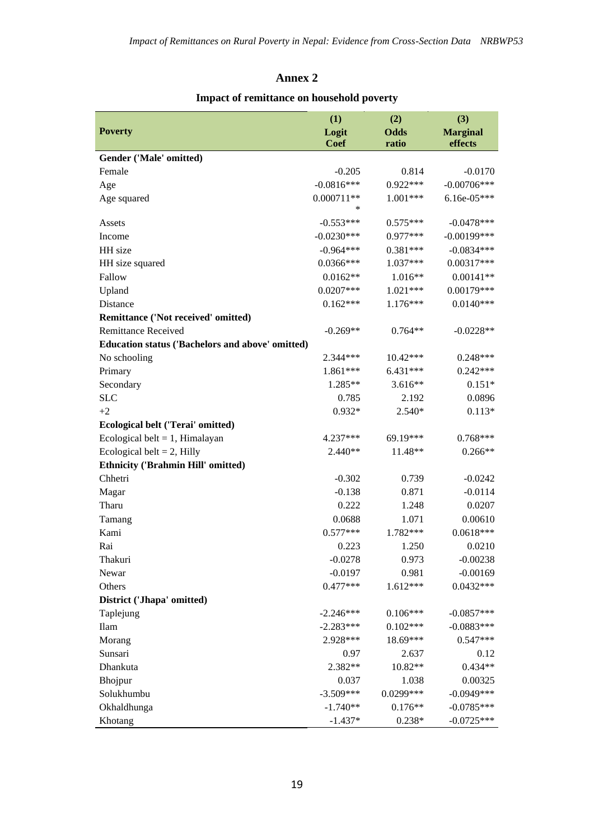### **Annex 2**

## **Impact of remittance on household poverty**

|                                                  | (1)          | (2)         | (3)             |
|--------------------------------------------------|--------------|-------------|-----------------|
| <b>Poverty</b>                                   | Logit        | <b>Odds</b> | <b>Marginal</b> |
|                                                  | Coef         | ratio       | effects         |
| Gender ('Male' omitted)                          |              |             |                 |
| Female                                           | $-0.205$     | 0.814       | $-0.0170$       |
| Age                                              | $-0.0816***$ | $0.922***$  | $-0.00706***$   |
| Age squared                                      | $0.000711**$ | 1.001***    | $6.16e-05***$   |
|                                                  | *            |             |                 |
| Assets                                           | $-0.553***$  | $0.575***$  | $-0.0478***$    |
| Income                                           | $-0.0230***$ | 0.977***    | $-0.00199$ ***  |
| HH size                                          | $-0.964***$  | $0.381***$  | $-0.0834***$    |
| HH size squared                                  | $0.0366***$  | $1.037***$  | $0.00317***$    |
| Fallow                                           | $0.0162**$   | $1.016**$   | $0.00141**$     |
| Upland                                           | $0.0207***$  | $1.021***$  | $0.00179***$    |
| Distance                                         | $0.162***$   | $1.176***$  | $0.0140***$     |
| Remittance ('Not received' omitted)              |              |             |                 |
| <b>Remittance Received</b>                       | $-0.269**$   | $0.764**$   | $-0.0228**$     |
| Education status ('Bachelors and above' omitted) |              |             |                 |
| No schooling                                     | $2.344***$   | $10.42***$  | $0.248***$      |
| Primary                                          | $1.861***$   | 6.431***    | $0.242***$      |
| Secondary                                        | $1.285**$    | $3.616**$   | $0.151*$        |
| <b>SLC</b>                                       | 0.785        | 2.192       | 0.0896          |
| $+2$                                             | $0.932*$     | $2.540*$    | $0.113*$        |
| <b>Ecological belt ('Terai' omitted)</b>         |              |             |                 |
| Ecological belt = $1$ , Himalayan                | 4.237***     | 69.19***    | $0.768***$      |
| Ecological belt = $2$ , Hilly                    | $2.440**$    | 11.48**     | $0.266**$       |
| <b>Ethnicity ('Brahmin Hill' omitted)</b>        |              |             |                 |
| Chhetri                                          | $-0.302$     | 0.739       | $-0.0242$       |
| Magar                                            | $-0.138$     | 0.871       | $-0.0114$       |
| Tharu                                            | 0.222        | 1.248       | 0.0207          |
| Tamang                                           | 0.0688       | 1.071       | 0.00610         |
| Kami                                             | $0.577***$   | 1.782***    | $0.0618***$     |
| Rai                                              | 0.223        | 1.250       | 0.0210          |
| Thakuri                                          | $-0.0278$    | 0.973       | $-0.00238$      |
| Newar                                            | $-0.0197$    | 0.981       | $-0.00169$      |
| Others                                           | $0.477***$   | $1.612***$  | $0.0432***$     |
| District ('Jhapa' omitted)                       |              |             |                 |
| Taplejung                                        | $-2.246***$  | $0.106***$  | $-0.0857***$    |
| Ilam                                             | $-2.283***$  | $0.102***$  | $-0.0883***$    |
| Morang                                           | 2.928***     | 18.69***    | $0.547***$      |
| Sunsari                                          | 0.97         | 2.637       | 0.12            |
| Dhankuta                                         | 2.382**      | 10.82**     | $0.434**$       |
| Bhojpur                                          | 0.037        | 1.038       | 0.00325         |
| Solukhumbu                                       | $-3.509***$  | 0.0299***   | $-0.0949***$    |
| Okhaldhunga                                      | $-1.740**$   | $0.176**$   | $-0.0785***$    |
| Khotang                                          | $-1.437*$    | $0.238*$    | $-0.0725***$    |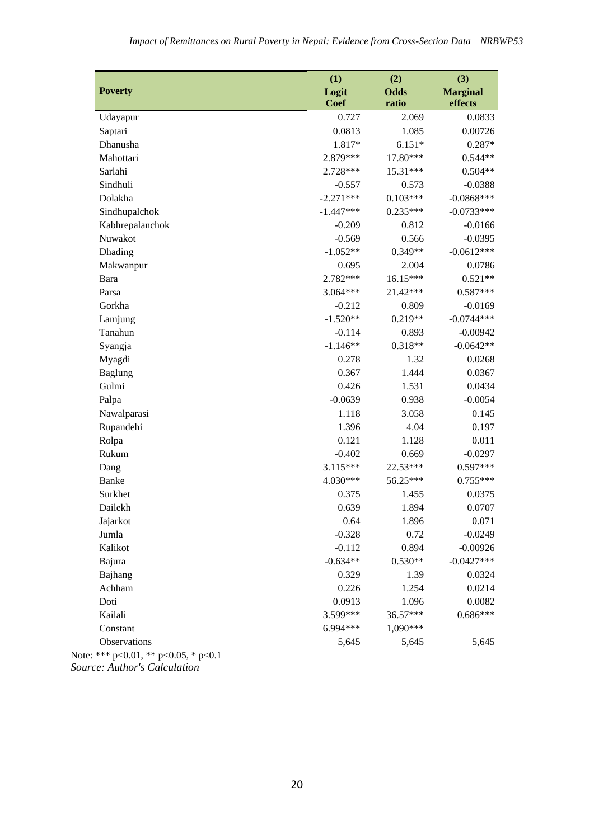|                 | (1)         | (2)         | (3)             |
|-----------------|-------------|-------------|-----------------|
| <b>Poverty</b>  | Logit       | <b>Odds</b> | <b>Marginal</b> |
|                 | <b>Coef</b> | ratio       | effects         |
| Udayapur        | 0.727       | 2.069       | 0.0833          |
| Saptari         | 0.0813      | 1.085       | 0.00726         |
| Dhanusha        | 1.817*      | $6.151*$    | 0.287*          |
| Mahottari       | 2.879***    | 17.80***    | $0.544**$       |
| Sarlahi         | 2.728***    | 15.31***    | $0.504**$       |
| Sindhuli        | $-0.557$    | 0.573       | $-0.0388$       |
| Dolakha         | $-2.271***$ | $0.103***$  | $-0.0868***$    |
| Sindhupalchok   | $-1.447***$ | $0.235***$  | $-0.0733***$    |
| Kabhrepalanchok | $-0.209$    | 0.812       | $-0.0166$       |
| Nuwakot         | $-0.569$    | 0.566       | $-0.0395$       |
| Dhading         | $-1.052**$  | $0.349**$   | $-0.0612***$    |
| Makwanpur       | 0.695       | 2.004       | 0.0786          |
| Bara            | 2.782***    | 16.15***    | $0.521**$       |
| Parsa           | 3.064***    | 21.42***    | $0.587***$      |
| Gorkha          | $-0.212$    | 0.809       | $-0.0169$       |
| Lamjung         | $-1.520**$  | $0.219**$   | $-0.0744***$    |
| Tanahun         | $-0.114$    | 0.893       | $-0.00942$      |
| Syangja         | $-1.146**$  | $0.318**$   | $-0.0642**$     |
| Myagdi          | 0.278       | 1.32        | 0.0268          |
| <b>Baglung</b>  | 0.367       | 1.444       | 0.0367          |
| Gulmi           | 0.426       | 1.531       | 0.0434          |
| Palpa           | $-0.0639$   | 0.938       | $-0.0054$       |
| Nawalparasi     | 1.118       | 3.058       | 0.145           |
| Rupandehi       | 1.396       | 4.04        | 0.197           |
| Rolpa           | 0.121       | 1.128       | 0.011           |
| Rukum           | $-0.402$    | 0.669       | $-0.0297$       |
| Dang            | 3.115***    | 22.53***    | $0.597***$      |
| Banke           | 4.030***    | 56.25***    | $0.755***$      |
| Surkhet         | 0.375       | 1.455       | 0.0375          |
| Dailekh         | 0.639       | 1.894       | 0.0707          |
| Jajarkot        | 0.64        | 1.896       | 0.071           |
| Jumla           | $-0.328$    | 0.72        | $-0.0249$       |
| Kalikot         | $-0.112$    | 0.894       | $-0.00926$      |
| Bajura          | $-0.634**$  | $0.530**$   | $-0.0427***$    |
| Bajhang         | 0.329       | 1.39        | 0.0324          |
| Achham          | 0.226       | 1.254       | 0.0214          |
| Doti            | 0.0913      | 1.096       | 0.0082          |
| Kailali         | 3.599***    | 36.57***    | $0.686***$      |
| Constant        | 6.994***    | 1,090***    |                 |
| Observations    | 5,645       | 5,645       | 5,645           |

Note: \*\*\* p<0.01, \*\* p<0.05, \* p<0.1 *Source: Author's Calculation*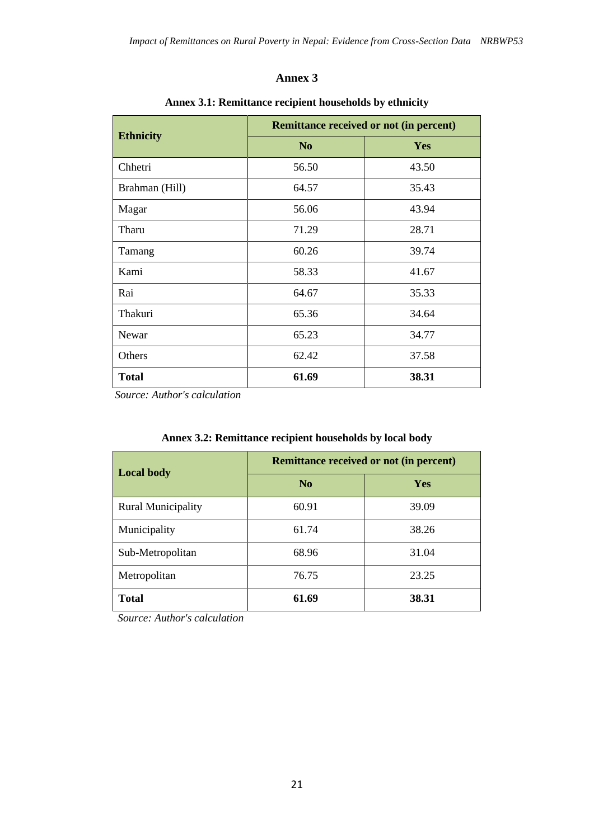### **Annex 3**

|                  | <b>Remittance received or not (in percent)</b> |       |  |  |
|------------------|------------------------------------------------|-------|--|--|
| <b>Ethnicity</b> | N <sub>o</sub>                                 | Yes   |  |  |
| Chhetri          | 56.50                                          | 43.50 |  |  |
| Brahman (Hill)   | 64.57                                          | 35.43 |  |  |
| Magar            | 56.06                                          | 43.94 |  |  |
| Tharu            | 71.29                                          | 28.71 |  |  |
| Tamang           | 60.26                                          | 39.74 |  |  |
| Kami             | 58.33                                          | 41.67 |  |  |
| Rai              | 64.67                                          | 35.33 |  |  |
| Thakuri          | 65.36                                          | 34.64 |  |  |
| Newar            | 65.23                                          | 34.77 |  |  |
| Others           | 62.42                                          | 37.58 |  |  |
| <b>Total</b>     | 61.69                                          | 38.31 |  |  |

### **Annex 3.1: Remittance recipient households by ethnicity**

 *Source: Author's calculation*

|                           | <b>Remittance received or not (in percent)</b> |            |  |  |
|---------------------------|------------------------------------------------|------------|--|--|
| <b>Local body</b>         | N <sub>o</sub>                                 | <b>Yes</b> |  |  |
| <b>Rural Municipality</b> | 60.91                                          | 39.09      |  |  |
| Municipality              | 61.74                                          | 38.26      |  |  |
| Sub-Metropolitan          | 68.96                                          | 31.04      |  |  |
| Metropolitan              | 76.75                                          | 23.25      |  |  |
| <b>Total</b>              | 61.69                                          | 38.31      |  |  |

### **Annex 3.2: Remittance recipient households by local body**

 *Source: Author's calculation*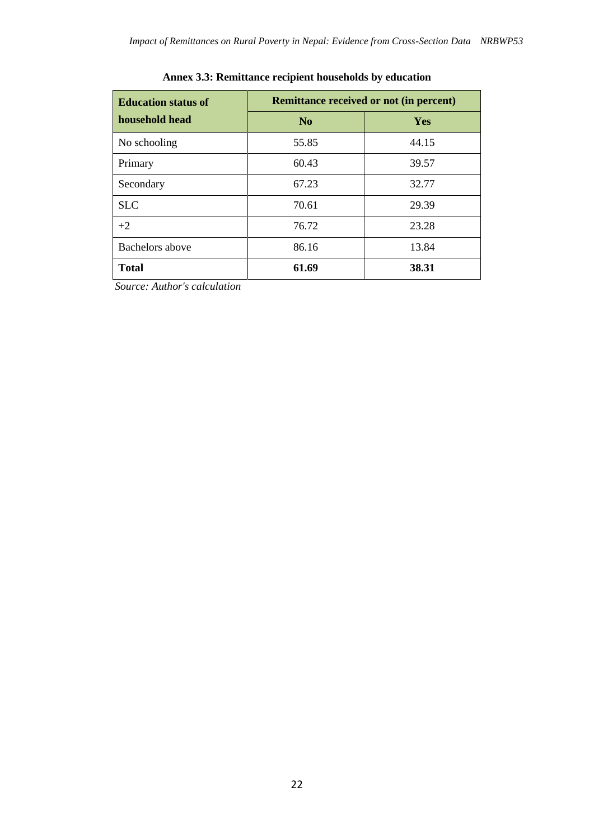| <b>Education status of</b> | <b>Remittance received or not (in percent)</b> |       |  |  |
|----------------------------|------------------------------------------------|-------|--|--|
| household head             | N <sub>0</sub>                                 | Yes   |  |  |
| No schooling               | 55.85                                          | 44.15 |  |  |
| Primary                    | 60.43                                          | 39.57 |  |  |
| Secondary                  | 67.23                                          | 32.77 |  |  |
| <b>SLC</b>                 | 70.61                                          | 29.39 |  |  |
| $+2$                       | 76.72                                          | 23.28 |  |  |
| <b>Bachelors</b> above     | 86.16                                          | 13.84 |  |  |
| <b>Total</b>               | 61.69                                          | 38.31 |  |  |

## **Annex 3.3: Remittance recipient households by education**

 *Source: Author's calculation*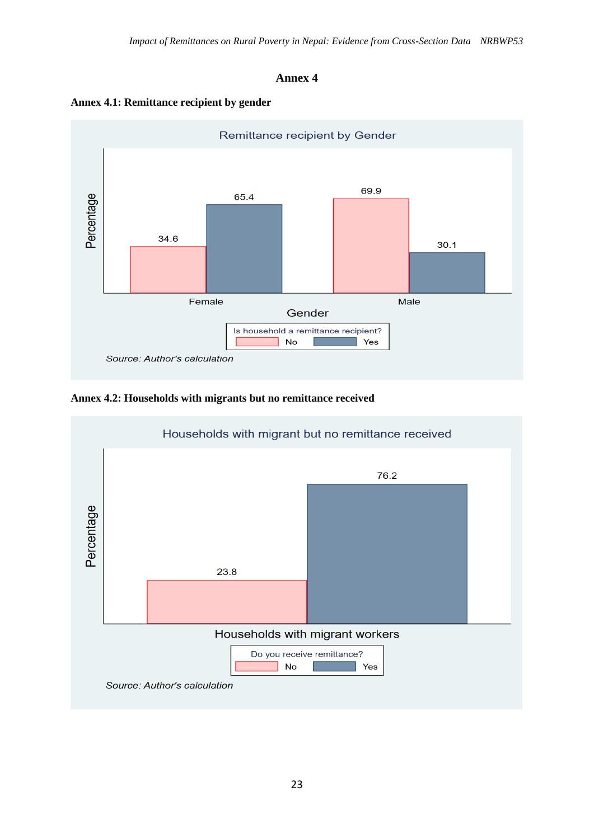### **Annex 4**





### **Annex 4.2: Households with migrants but no remittance received**

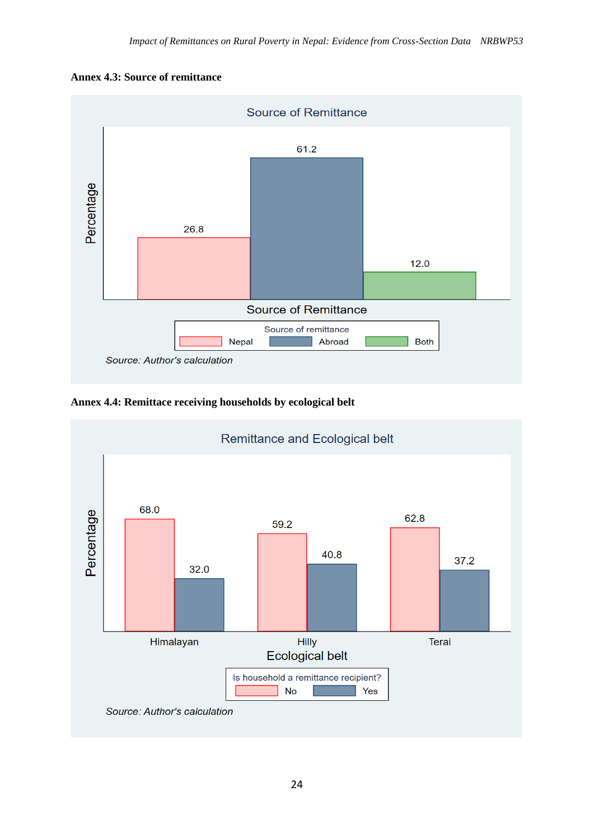



**Annex 4.4: Remittace receiving households by ecological belt** 

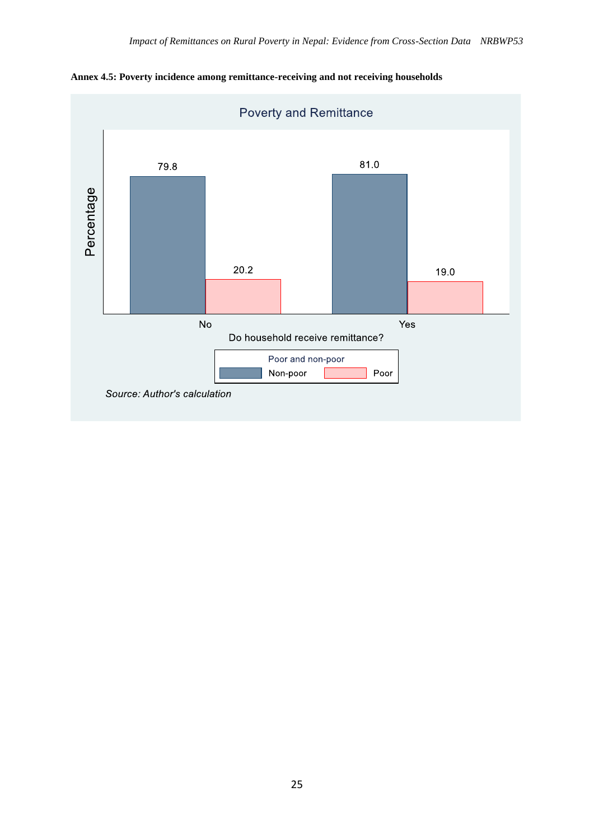

**Annex 4.5: Poverty incidence among remittance-receiving and not receiving households**